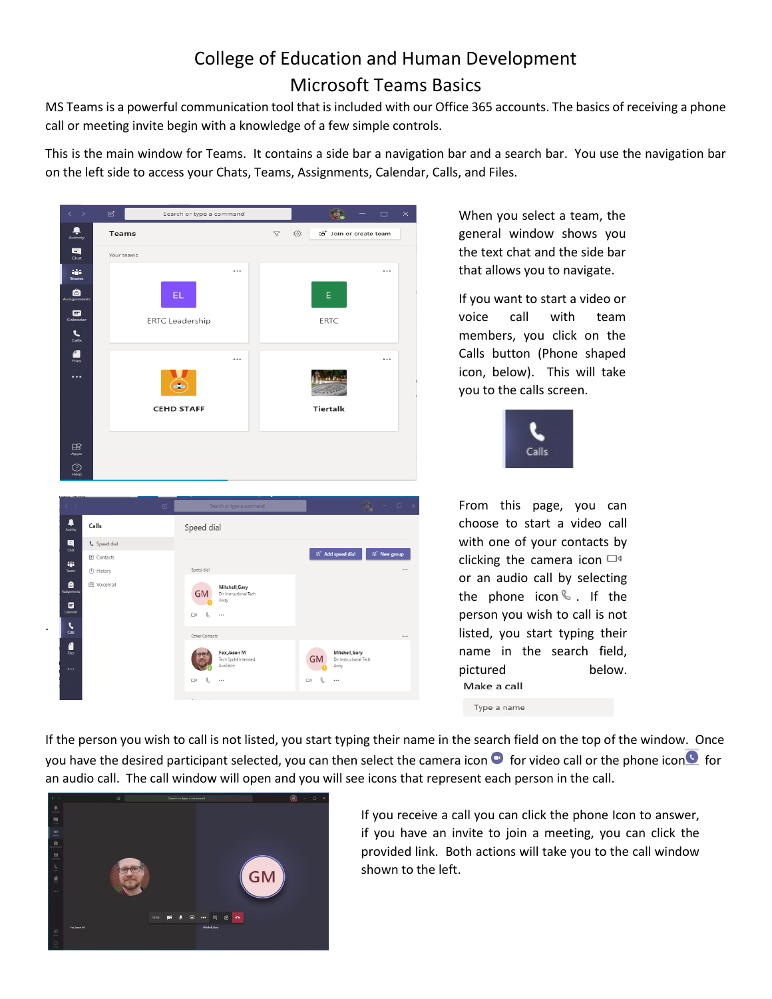## College of Education and Human Development Microsoft Teams Basics

MS Teams is a powerful communication tool that is included with our Office 365 accounts. The basics of receiving a phone call or meeting invite begin with a knowledge of a few simple controls.

This is the main window for Teams. It contains a side bar a navigation bar and a search bar. You use the navigation bar on the left side to access your Chats, Teams, Assignments, Calendar, Calls, and Files.



When you select a team, the general window shows you the text chat and the side bar that allows you to navigate.

If you want to start a video or voice call with team members, you click on the Calls button (Phone shaped icon, below). This will take you to the calls screen.



From this page, you can choose to start a video call with one of your contacts by clicking the camera icon  $\Box$ <sup>4</sup> or an audio call by selecting the phone icon  $\%$ . If the person you wish to call is not listed, you start typing their name in the search field, pictured below. Make a call

Type a name

If the person you wish to call is not listed, you start typing their name in the search field on the top of the window. Once you have the desired participant selected, you can then select the camera icon  $\bullet$  for video call or the phone icon  $\bullet$  for an audio call. The call window will open and you will see icons that represent each person in the call.

 $\Box$  $\mathbb{R}$ 



 $\Box$ 

If you receive a call you can click the phone Icon to answer, if you have an invite to join a meeting, you can click the provided link. Both actions will take you to the call window shown to the left.